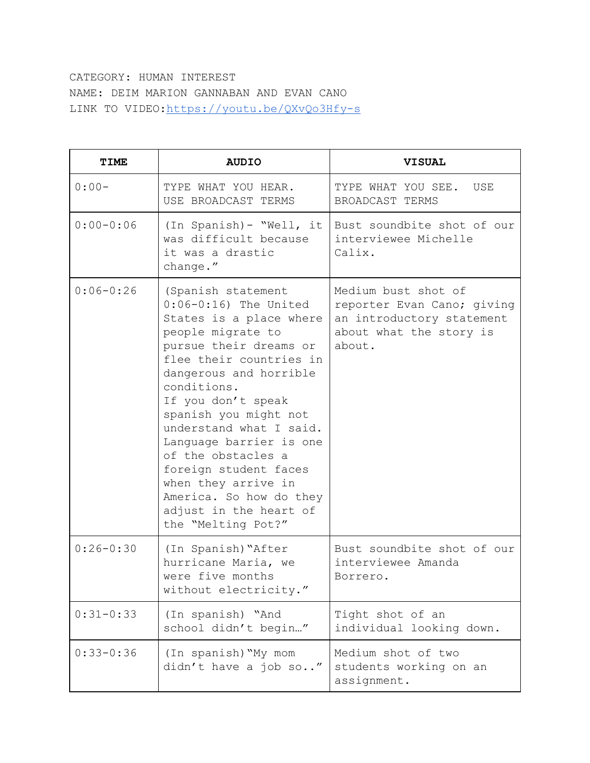## CATEGORY: HUMAN INTEREST NAME: DEIM MARION GANNABAN AND EVAN CANO LINK TO VIDEO: https://youtu.be/QXvQo3Hfy-s

| <b>TIME</b>   | <b>AUDIO</b>                                                                                                                                                                                                                                                                                                                                                                                                                                     | <b>VISUAL</b>                                                                                                       |
|---------------|--------------------------------------------------------------------------------------------------------------------------------------------------------------------------------------------------------------------------------------------------------------------------------------------------------------------------------------------------------------------------------------------------------------------------------------------------|---------------------------------------------------------------------------------------------------------------------|
| $0:00-$       | TYPE WHAT YOU HEAR.<br>USE BROADCAST TERMS                                                                                                                                                                                                                                                                                                                                                                                                       | TYPE WHAT YOU SEE.<br>USE<br>BROADCAST TERMS                                                                        |
| $0:00 - 0:06$ | (In Spanish) - "Well, it<br>was difficult because<br>it was a drastic<br>change."                                                                                                                                                                                                                                                                                                                                                                | Bust soundbite shot of our<br>interviewee Michelle<br>Calix.                                                        |
| $0:06 - 0:26$ | (Spanish statement<br>$0:06-0:16$ The United<br>States is a place where<br>people migrate to<br>pursue their dreams or<br>flee their countries in<br>dangerous and horrible<br>conditions.<br>If you don't speak<br>spanish you might not<br>understand what I said.<br>Language barrier is one<br>of the obstacles a<br>foreign student faces<br>when they arrive in<br>America. So how do they<br>adjust in the heart of<br>the "Melting Pot?" | Medium bust shot of<br>reporter Evan Cano; giving<br>an introductory statement<br>about what the story is<br>about. |
| $0:26 - 0:30$ | (In Spanish) "After<br>hurricane Maria, we<br>were five months<br>without electricity."                                                                                                                                                                                                                                                                                                                                                          | Bust soundbite shot of our<br>interviewee Amanda<br>Borrero.                                                        |
| $0:31 - 0:33$ | (In spanish) "And<br>school didn't begin"                                                                                                                                                                                                                                                                                                                                                                                                        | Tight shot of an<br>individual looking down.                                                                        |
| $0:33 - 0:36$ | (In spanish) "My mom<br>didn't have a job so"                                                                                                                                                                                                                                                                                                                                                                                                    | Medium shot of two<br>students working on an<br>assignment.                                                         |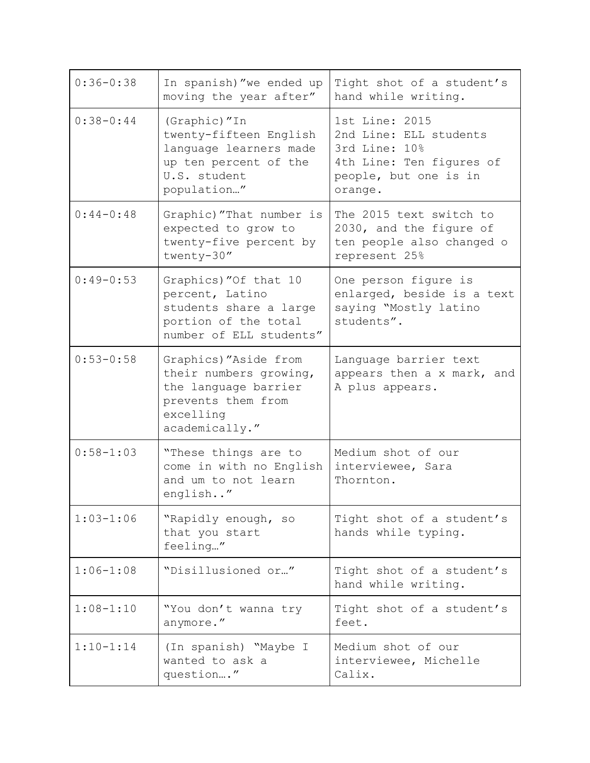| $0:36 - 0:38$ | In spanish)"we ended up<br>moving the year after"                                                                            | Tight shot of a student's<br>hand while writing.                                                                          |
|---------------|------------------------------------------------------------------------------------------------------------------------------|---------------------------------------------------------------------------------------------------------------------------|
| $0:38 - 0:44$ | (Graphic) "In<br>twenty-fifteen English<br>language learners made<br>up ten percent of the<br>U.S. student<br>population"    | 1st Line: 2015<br>2nd Line: ELL students<br>3rd Line: 10%<br>4th Line: Ten figures of<br>people, but one is in<br>orange. |
| $0:44-0:48$   | Graphic)"That number is<br>expected to grow to<br>twenty-five percent by<br>twenty-30"                                       | The 2015 text switch to<br>2030, and the figure of<br>ten people also changed o<br>represent 25%                          |
| $0:49-0:53$   | Graphics) "Of that 10<br>percent, Latino<br>students share a large<br>portion of the total<br>number of ELL students"        | One person figure is<br>enlarged, beside is a text<br>saying "Mostly latino<br>students".                                 |
| $0:53 - 0:58$ | Graphics) "Aside from<br>their numbers growing,<br>the language barrier<br>prevents them from<br>excelling<br>academically." | Language barrier text<br>appears then a x mark, and<br>A plus appears.                                                    |
| $0:58 - 1:03$ | "These things are to<br>come in with no English<br>and um to not learn<br>english"                                           | Medium shot of our<br>interviewee, Sara<br>Thornton.                                                                      |
| $1:03 - 1:06$ | "Rapidly enough, so<br>that you start<br>feeling"                                                                            | Tight shot of a student's<br>hands while typing.                                                                          |
| $1:06 - 1:08$ | "Disillusioned or"                                                                                                           | Tight shot of a student's<br>hand while writing.                                                                          |
| $1:08 - 1:10$ | "You don't wanna try<br>anymore."                                                                                            | Tight shot of a student's<br>feet.                                                                                        |
| $1:10-1:14$   | (In spanish) "Maybe I<br>wanted to ask a<br>question"                                                                        | Medium shot of our<br>interviewee, Michelle<br>Calix.                                                                     |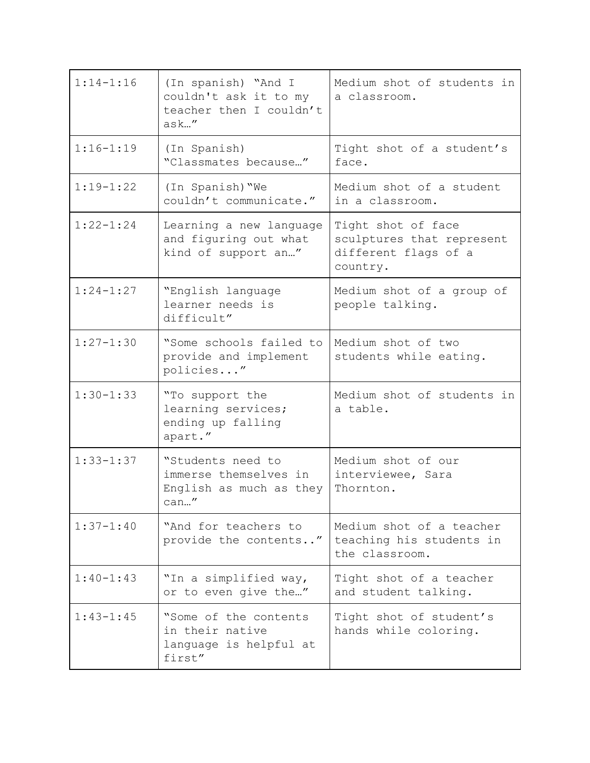| $1:14 - 1:16$ | (In spanish) "And I<br>couldn't ask it to my<br>teacher then I couldn't<br>ask'' | Medium shot of students in<br>a classroom.                                          |
|---------------|----------------------------------------------------------------------------------|-------------------------------------------------------------------------------------|
| $1:16 - 1:19$ | (In Spanish)<br>"Classmates because"                                             | Tight shot of a student's<br>face.                                                  |
| $1:19-1:22$   | (In Spanish) "We<br>couldn't communicate."                                       | Medium shot of a student<br>in a classroom.                                         |
| $1:22 - 1:24$ | Learning a new language<br>and figuring out what<br>kind of support an"          | Tight shot of face<br>sculptures that represent<br>different flags of a<br>country. |
| $1:24-1:27$   | "English language<br>learner needs is<br>difficult"                              | Medium shot of a group of<br>people talking.                                        |
| $1:27 - 1:30$ | "Some schools failed to<br>provide and implement<br>policies"                    | Medium shot of two<br>students while eating.                                        |
| $1:30 - 1:33$ | "To support the<br>learning services;<br>ending up falling<br>apart."            | Medium shot of students in<br>a table.                                              |
| $1:33 - 1:37$ | "Students need to<br>immerse themselves in<br>English as much as they<br>can"    | Medium shot of our<br>interviewee, Sara<br>Thornton.                                |
| $1:37 - 1:40$ | "And for teachers to<br>provide the contents"                                    | Medium shot of a teacher<br>teaching his students in<br>the classroom.              |
| $1:40-1:43$   | "In a simplified way,<br>or to even give the"                                    | Tight shot of a teacher<br>and student talking.                                     |
| $1:43 - 1:45$ | "Some of the contents<br>in their native<br>language is helpful at<br>first"     | Tight shot of student's<br>hands while coloring.                                    |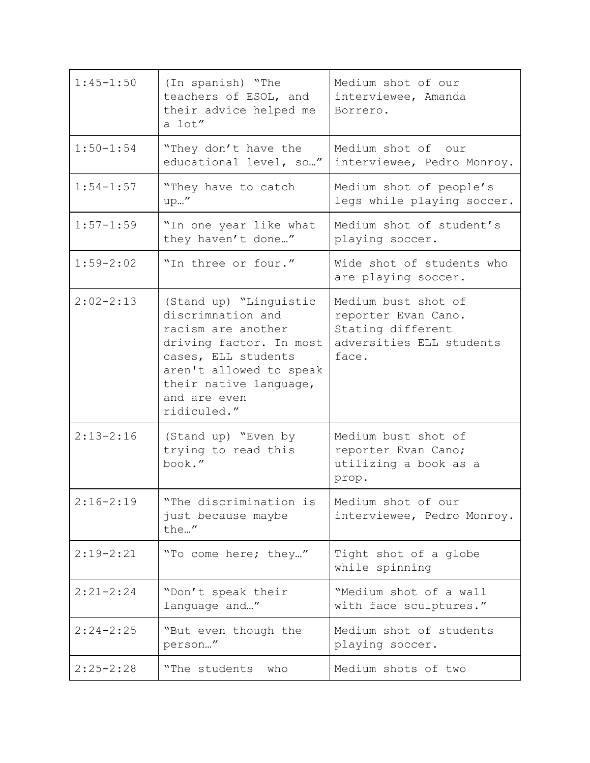| $1:45 - 1:50$ | (In spanish) "The<br>teachers of ESOL, and<br>their advice helped me<br>a lot"                                                                                                                          | Medium shot of our<br>interviewee, Amanda<br>Borrero.                                                |
|---------------|---------------------------------------------------------------------------------------------------------------------------------------------------------------------------------------------------------|------------------------------------------------------------------------------------------------------|
| $1:50 - 1:54$ | "They don't have the<br>educational level, so"                                                                                                                                                          | Medium shot of our<br>interviewee, Pedro Monroy.                                                     |
| $1:54 - 1:57$ | "They have to catch<br>up"                                                                                                                                                                              | Medium shot of people's<br>legs while playing soccer.                                                |
| $1:57 - 1:59$ | "In one year like what<br>they haven't done"                                                                                                                                                            | Medium shot of student's<br>playing soccer.                                                          |
| $1:59 - 2:02$ | "In three or four."                                                                                                                                                                                     | Wide shot of students who<br>are playing soccer.                                                     |
| $2:02 - 2:13$ | (Stand up) "Linguistic<br>discrimnation and<br>racism are another<br>driving factor. In most<br>cases, ELL students<br>aren't allowed to speak<br>their native language,<br>and are even<br>ridiculed." | Medium bust shot of<br>reporter Evan Cano.<br>Stating different<br>adversities ELL students<br>face. |
| $2:13 - 2:16$ | (Stand up) "Even by<br>trying to read this<br>book."                                                                                                                                                    | Medium bust shot of<br>reporter Evan Cano;<br>utilizing a book as a<br>prop.                         |
| $2:16-2:19$   | "The discrimination is<br>just because maybe<br>the"                                                                                                                                                    | Medium shot of our<br>interviewee, Pedro Monroy.                                                     |
| $2:19-2:21$   | "To come here; they"                                                                                                                                                                                    | Tight shot of a globe<br>while spinning                                                              |
| $2:21 - 2:24$ | "Don't speak their<br>language and"                                                                                                                                                                     | "Medium shot of a wall<br>with face sculptures."                                                     |
| $2:24 - 2:25$ | "But even though the<br>person"                                                                                                                                                                         | Medium shot of students<br>playing soccer.                                                           |
| $2:25 - 2:28$ | "The students<br>who                                                                                                                                                                                    | Medium shots of two                                                                                  |